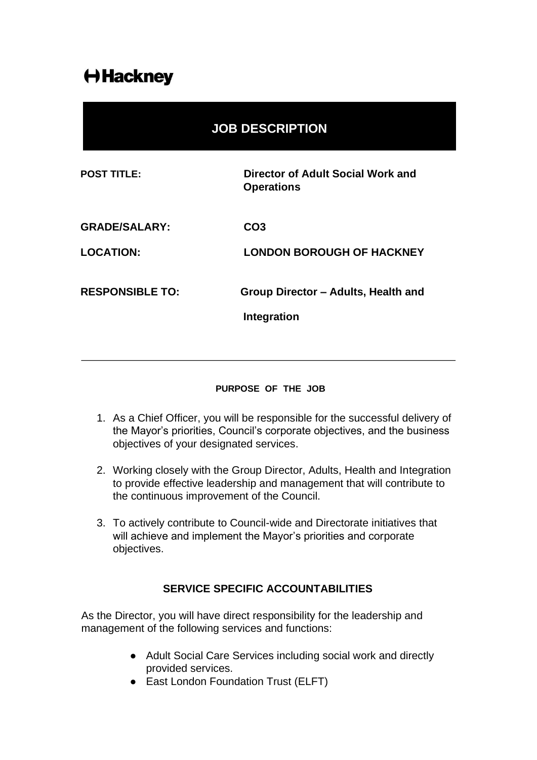# $H$  Hackney

| <b>JOB DESCRIPTION</b>                   |                                                        |
|------------------------------------------|--------------------------------------------------------|
| <b>POST TITLE:</b>                       | Director of Adult Social Work and<br><b>Operations</b> |
| <b>GRADE/SALARY:</b><br><b>LOCATION:</b> | CO <sub>3</sub><br><b>LONDON BOROUGH OF HACKNEY</b>    |
| <b>RESPONSIBLE TO:</b>                   | Group Director - Adults, Health and<br>Integration     |

### **PURPOSE OF THE JOB**

- 1. As a Chief Officer, you will be responsible for the successful delivery of the Mayor's priorities, Council's corporate objectives, and the business objectives of your designated services.
- 2. Working closely with the Group Director, Adults, Health and Integration to provide effective leadership and management that will contribute to the continuous improvement of the Council.
- 3. To actively contribute to Council-wide and Directorate initiatives that will achieve and implement the Mayor's priorities and corporate objectives.

## **SERVICE SPECIFIC ACCOUNTABILITIES**

As the Director, you will have direct responsibility for the leadership and management of the following services and functions:

- Adult Social Care Services including social work and directly provided services.
- East London Foundation Trust (ELFT)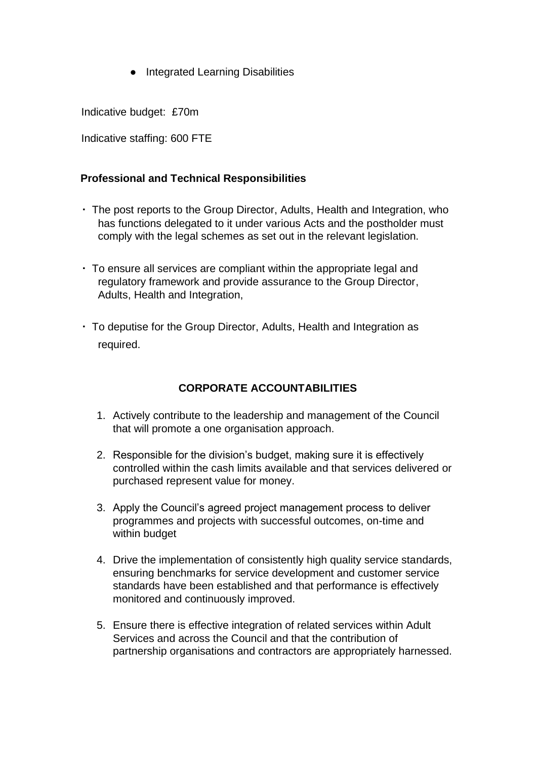● Integrated Learning Disabilities

Indicative budget: £70m

Indicative staffing: 600 FTE

## **Professional and Technical Responsibilities**

- The post reports to the Group Director, Adults, Health and Integration, who has functions delegated to it under various Acts and the postholder must comply with the legal schemes as set out in the relevant legislation.
- To ensure all services are compliant within the appropriate legal and regulatory framework and provide assurance to the Group Director, Adults, Health and Integration,
- To deputise for the Group Director, Adults, Health and Integration as required.

## **CORPORATE ACCOUNTABILITIES**

- 1. Actively contribute to the leadership and management of the Council that will promote a one organisation approach.
- 2. Responsible for the division's budget, making sure it is effectively controlled within the cash limits available and that services delivered or purchased represent value for money.
- 3. Apply the Council's agreed project management process to deliver programmes and projects with successful outcomes, on-time and within budget
- 4. Drive the implementation of consistently high quality service standards, ensuring benchmarks for service development and customer service standards have been established and that performance is effectively monitored and continuously improved.
- 5. Ensure there is effective integration of related services within Adult Services and across the Council and that the contribution of partnership organisations and contractors are appropriately harnessed.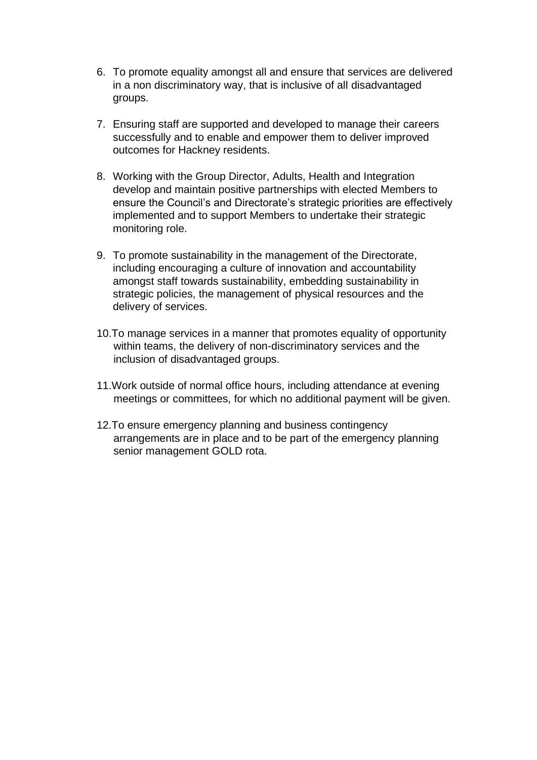- 6. To promote equality amongst all and ensure that services are delivered in a non discriminatory way, that is inclusive of all disadvantaged groups.
- 7. Ensuring staff are supported and developed to manage their careers successfully and to enable and empower them to deliver improved outcomes for Hackney residents.
- 8. Working with the Group Director, Adults, Health and Integration develop and maintain positive partnerships with elected Members to ensure the Council's and Directorate's strategic priorities are effectively implemented and to support Members to undertake their strategic monitoring role.
- 9. To promote sustainability in the management of the Directorate, including encouraging a culture of innovation and accountability amongst staff towards sustainability, embedding sustainability in strategic policies, the management of physical resources and the delivery of services.
- 10.To manage services in a manner that promotes equality of opportunity within teams, the delivery of non-discriminatory services and the inclusion of disadvantaged groups.
- 11.Work outside of normal office hours, including attendance at evening meetings or committees, for which no additional payment will be given.
- 12.To ensure emergency planning and business contingency arrangements are in place and to be part of the emergency planning senior management GOLD rota.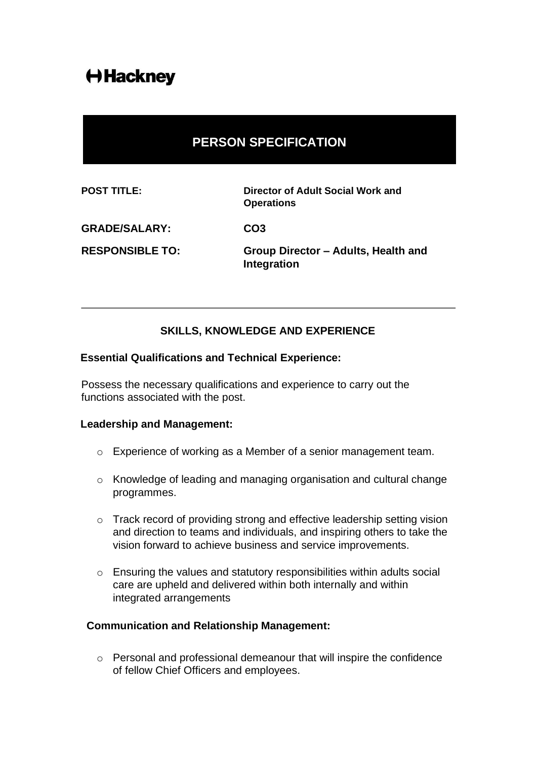## $H$  Hackney

## **PERSON SPECIFICATION**

| POST TITLE: I          | <b>Director of Adult Social Work and</b><br><b>Operations</b> |
|------------------------|---------------------------------------------------------------|
| <b>GRADE/SALARY:</b>   | CO <sub>3</sub>                                               |
| <b>RESPONSIBLE TO:</b> | Group Director – Adults, Health and<br>Integration            |

## **SKILLS, KNOWLEDGE AND EXPERIENCE**

### **Essential Qualifications and Technical Experience:**

Possess the necessary qualifications and experience to carry out the functions associated with the post.

#### **Leadership and Management:**

- o Experience of working as a Member of a senior management team.
- o Knowledge of leading and managing organisation and cultural change programmes.
- o Track record of providing strong and effective leadership setting vision and direction to teams and individuals, and inspiring others to take the vision forward to achieve business and service improvements.
- o Ensuring the values and statutory responsibilities within adults social care are upheld and delivered within both internally and within integrated arrangements

### **Communication and Relationship Management:**

o Personal and professional demeanour that will inspire the confidence of fellow Chief Officers and employees.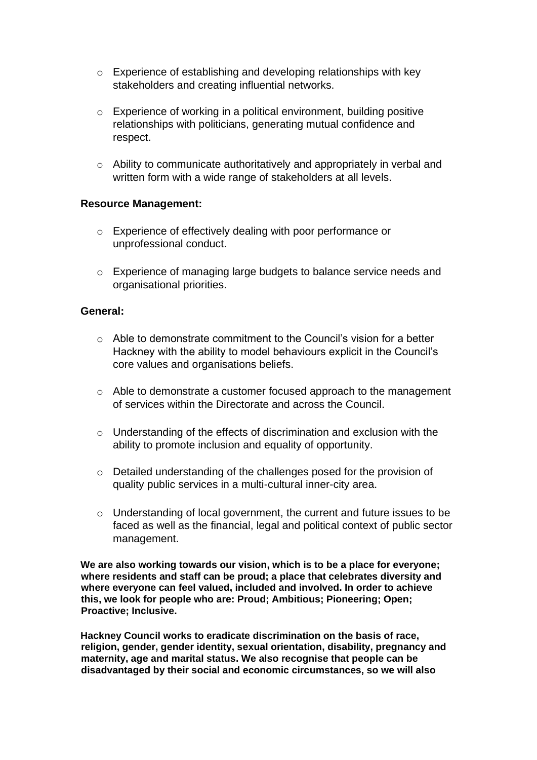- o Experience of establishing and developing relationships with key stakeholders and creating influential networks.
- $\circ$  Experience of working in a political environment, building positive relationships with politicians, generating mutual confidence and respect.
- o Ability to communicate authoritatively and appropriately in verbal and written form with a wide range of stakeholders at all levels.

### **Resource Management:**

- o Experience of effectively dealing with poor performance or unprofessional conduct.
- o Experience of managing large budgets to balance service needs and organisational priorities.

### **General:**

- $\circ$  Able to demonstrate commitment to the Council's vision for a better Hackney with the ability to model behaviours explicit in the Council's core values and organisations beliefs.
- o Able to demonstrate a customer focused approach to the management of services within the Directorate and across the Council.
- $\circ$  Understanding of the effects of discrimination and exclusion with the ability to promote inclusion and equality of opportunity.
- o Detailed understanding of the challenges posed for the provision of quality public services in a multi-cultural inner-city area.
- o Understanding of local government, the current and future issues to be faced as well as the financial, legal and political context of public sector management.

**We are also working towards our vision, which is to be a place for everyone; where residents and staff can be proud; a place that celebrates diversity and where everyone can feel valued, included and involved. In order to achieve this, we look for people who are: Proud; Ambitious; Pioneering; Open; Proactive; Inclusive.** 

**Hackney Council works to eradicate discrimination on the basis of race, religion, gender, gender identity, sexual orientation, disability, pregnancy and maternity, age and marital status. We also recognise that people can be disadvantaged by their social and economic circumstances, so we will also**